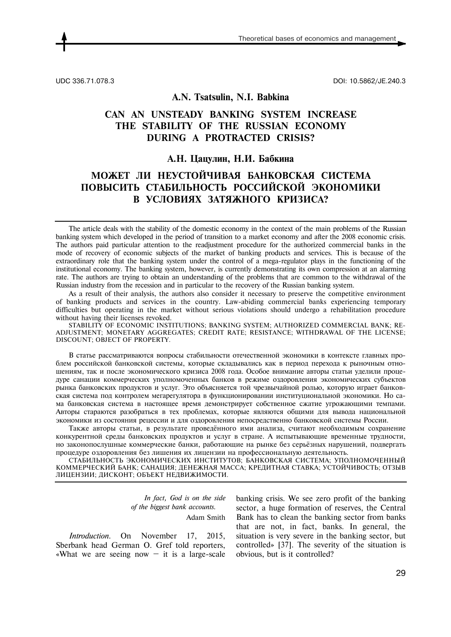UDC 336.71.078.3 DOI: 10.5862/JE.240.3

### **А.N. Tsatsulin, N.I. Babkina**

# **CAN AN UNSTEADY BANKING SYSTEM INCREASE THE STABILITY OF THE RUSSIAN ECONOMY DURING A PROTRACTED CRISIS?**

## **А.Н. Цацулин, Н.И. Бабкина**

## **МОЖЕТ ЛИ НЕУСТОЙЧИВАЯ БАНКОВСКАЯ СИСТЕМА ПОВЫСИТЬ СТАБИЛЬНОСТЬ РОССИЙСКОЙ ЭКОНОМИКИ В УСЛОВИЯХ ЗАТЯЖНОГО КРИЗИСА?**

The article deals with the stability of the domestic economy in the context of the main problems of the Russian banking system which developed in the period of transition to a market economy and after the 2008 economic crisis. The authors paid particular attention to the readjustment procedure for the authorized commercial banks in the mode of recovery of economic subjects of the market of banking products and services. This is because of the extraordinary role that the banking system under the control of a mega-regulator plays in the functioning of the institutional economy. The banking system, however, is currently demonstrating its own compression at an alarming rate. The authors are trying to obtain an understanding of the problems that are common to the withdrawal of the Russian industry from the recession and in particular to the recovery of the Russian banking system.

As a result of their analysis, the authors also consider it necessary to preserve the competitive environment of banking products and services in the country. Law-abiding commercial banks experiencing temporary difficulties but operating in the market without serious violations should undergo a rehabilitation procedure without having their licenses revoked.

STABILITY OF ECONOMIC INSTITUTIONS; BANKING SYSTEM; AUTHORIZED COMMERCIAL BANK; RE-ADJUSTMENT; MONETARY AGGREGATES; CREDIT RATE; RESISTANCE; WITHDRAWAL OF THE LICENSE; DISCOUNT; OBJECT OF PROPERTY.

В статье рассматриваются вопросы стабильности отечественной экономики в контексте главных проблем российской банковской системы, которые складывались как в период перехода к рыночным отношениям, так и после экономического кризиса 2008 года. Особое внимание авторы статьи уделили процедуре санации коммерческих уполномоченных банков в режиме оздоровления экономических субъектов рынка банковских продуктов и услуг. Это объясняется той чрезвычайной ролью, которую играет банковская система под контролем мегарегулятора в функционировании институциональной экономики. Но сама банковская система в настоящее время демонстрирует собственное сжатие угрожающими темпами. Авторы стараются разобраться в тех проблемах, которые являются общими для вывода национальной экономики из состояния рецессии и для оздоровления непосредственно банковской системы России.

Также авторы статьи, в результате проведённого ими анализа, считают необходимым сохранение конкурентной среды банковских продуктов и услуг в стране. А испытывающие временные трудности, но законопослушные коммерческие банки, работающие на рынке без серьёзных нарушений, подвергать процедуре оздоровления без лишения их лицензии на профессиональную деятельность.

СТАБИЛЬНОСТЬ ЭКОНОМИЧЕСКИХ ИНСТИТУТОВ; БАНКОВСКАЯ СИСТЕМА; УПОЛНОМОЧЕННЫЙ КОММЕРЧЕСКИЙ БАНК; САНАЦИЯ; ДЕНЕЖНАЯ МАССА; КРЕДИТНАЯ СТАВКА; УСТОЙЧИВОСТЬ; ОТЗЫВ ЛИЦЕНЗИИ; ДИСКОНТ; ОБЪЕКТ НЕДВИЖИМОСТИ.

> *In fact, God is on the side of the biggest bank accounts.*  Adam Smith

*Introduction.* On November 17, 2015, Sberbank head German O. Gref told reporters, «What we are seeing now  $-$  it is a large-scale banking crisis. We see zero profit of the banking sector, a huge formation of reserves, the Central Bank has to clean the banking sector from banks that are not, in fact, banks. In general, the situation is very severe in the banking sector, but controlled» [37]. The severity of the situation is obvious, but is it controlled?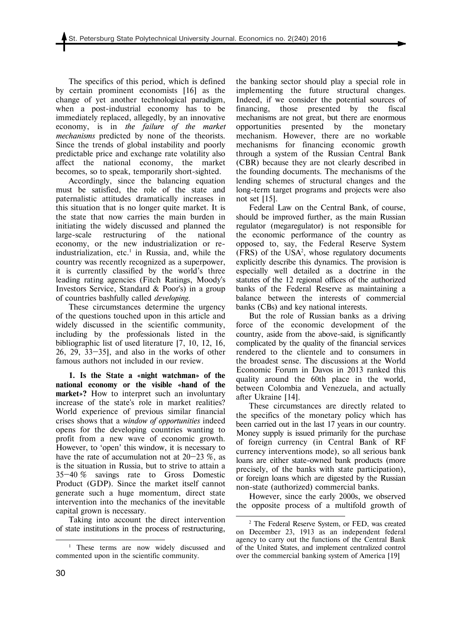The specifics of this period, which is defined by certain prominent economists [16] as the change of yet another technological paradigm, when a post-industrial economy has to be immediately replaced, allegedly, by an innovative economy, is in *the failure of the market mechanisms* predicted by none of the theorists. Since the trends of global instability and poorly predictable price and exchange rate volatility also affect the national economy, the market becomes, so to speak, temporarily short-sighted.

Accordingly, since the balancing equation must be satisfied, the role of the state and paternalistic attitudes dramatically increases in this situation that is no longer quite market. It is the state that now carries the main burden in initiating the widely discussed and planned the large-scale restructuring of the national economy, or the new industrialization or reindustrialization, etc. $\frac{1}{1}$  in Russia, and, while the country was recently recognized as a superpower, it is currently classified by the world's three leading rating agencies (Fitch Ratings, Moody's Investors Service, Standard & Poor's) in a group of countries bashfully called *developing*.

These circumstances determine the urgency of the questions touched upon in this article and widely discussed in the scientific community, including by the professionals listed in the bibliographic list of used literature [7, 10, 12, 16, 26, 29, 33—35], and also in the works of other famous authors not included in our review.

**1. Is the State a «night watchman» of the national economy or the visible «hand of the market»?** How to interpret such an involuntary increase of the state's role in market realities? World experience of previous similar financial crises shows that a *window of opportunities* indeed opens for the developing countries wanting to profit from a new wave of economic growth. However, to 'open' this window, it is necessary to have the rate of accumulation not at  $20-23\%$ , as is the situation in Russia, but to strive to attain a 35—40 % savings rate to Gross Domestic Product (GDP). Since the market itself cannot generate such a huge momentum, direct state intervention into the mechanics of the inevitable capital grown is necessary.

Taking into account the direct intervention of state institutions in the process of restructuring, the banking sector should play a special role in implementing the future structural changes. Indeed, if we consider the potential sources of financing, those presented by the fiscal mechanisms are not great, but there are enormous opportunities presented by the monetary mechanism. However, there are no workable mechanisms for financing economic growth through a system of the Russian Central Bank (CBR) because they are not clearly described in the founding documents. The mechanisms of the lending schemes of structural changes and the long-term target programs and projects were also not set [15].

Federal Law on the Central Bank, of course, should be improved further, as the main Russian regulator (megaregulator) is not responsible for the economic performance of the country as opposed to, say, the Federal Reserve System (FRS) of the USA2 , whose regulatory documents explicitly describe this dynamics. The provision is especially well detailed as a doctrine in the statutes of the 12 regional offices of the authorized banks of the Federal Reserve as maintaining a balance between the interests of commercial banks (CBs) and key national interests.

But the role of Russian banks as a driving force of the economic development of the country, aside from the above-said, is significantly complicated by the quality of the financial services rendered to the clientele and to consumers in the broadest sense. The discussions at the World Economic Forum in Davos in 2013 ranked this quality around the 60th place in the world, between Colombia and Venezuela, and actually after Ukraine [14].

These circumstances are directly related to the specifics of the monetary policy which has been carried out in the last 17 years in our country. Money supply is issued primarily for the purchase of foreign currency (in Central Bank of RF currency interventions mode), so all serious bank loans are either state-owned bank products (more precisely, of the banks with state participation), or foreign loans which are digested by the Russian non-state (authorized) commercial banks.

However, since the early 2000s, we observed the opposite process of a multifold growth of

<u>.</u>

l <sup>1</sup> These terms are now widely discussed and commented upon in the scientific community.

<sup>2</sup> The Federal Reserve System, or FED, was created on December 23, 1913 as an independent federal agency to carry out the functions of the Central Bank of the United States, and implement centralized control over the commercial banking system of America [19]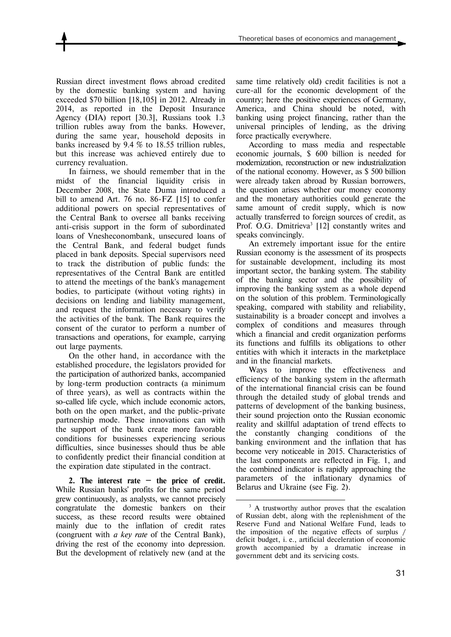Russian direct investment flows abroad credited by the domestic banking system and having exceeded \$70 billion [18,105] in 2012. Already in 2014, as reported in the Deposit Insurance Agency (DIA) report [30.3], Russians took 1.3 trillion rubles away from the banks. However, during the same year, household deposits in banks increased by 9.4 % to 18.55 trillion rubles, but this increase was achieved entirely due to currency revaluation.

In fairness, we should remember that in the midst of the financial liquidity crisis in December 2008, the State Duma introduced a bill to amend Art. 76 no. 86-FZ [15] to confer additional powers on special representatives of the Central Bank to oversee all banks receiving anti-crisis support in the form of subordinated loans of Vnesheconombank, unsecured loans of the Central Bank, and federal budget funds placed in bank deposits. Special supervisors need to track the distribution of public funds: the representatives of the Central Bank are entitled to attend the meetings of the bank's management bodies, to participate (without voting rights) in decisions on lending and liability management, and request the information necessary to verify the activities of the bank. The Bank requires the consent of the curator to perform a number of transactions and operations, for example, carrying out large payments.

On the other hand, in accordance with the established procedure, the legislators provided for the participation of authorized banks, accompanied by long-term production contracts (a minimum of three years), as well as contracts within the so-called life cycle, which include economic actors, both on the open market, and the public-private partnership mode. These innovations can with the support of the bank create more favorable conditions for businesses experiencing serious difficulties, since businesses should thus be able to confidently predict their financial condition at the expiration date stipulated in the contract.

**2. The interest rate — the price of credit.** While Russian banks' profits for the same period grew continuously, as analysts, we cannot precisely congratulate the domestic bankers on their success, as these record results were obtained mainly due to the inflation of credit rates (congruent with *a key rate* of the Central Bank), driving the rest of the economy into depression. But the development of relatively new (and at the

same time relatively old) credit facilities is not a cure-all for the economic development of the country; here the positive experiences of Germany, America, and China should be noted, with banking using project financing, rather than the universal principles of lending, as the driving force practically everywhere.

According to mass media and respectable economic journals, \$ 600 billion is needed for modernization, reconstruction or new industrialization of the national economy. However, as \$ 500 billion were already taken abroad by Russian borrowers, the question arises whether our money economy and the monetary authorities could generate the same amount of credit supply, which is now actually transferred to foreign sources of credit, as Prof. O.G. Dmitrieva<sup>3</sup> [12] constantly writes and speaks convincingly.

An extremely important issue for the entire Russian economy is the assessment of its prospects for sustainable development, including its most important sector, the banking system. The stability of the banking sector and the possibility of improving the banking system as a whole depend on the solution of this problem. Terminologically speaking, compared with stability and reliability, sustainability is a broader concept and involves a complex of conditions and measures through which a financial and credit organization performs its functions and fulfills its obligations to other entities with which it interacts in the marketplace and in the financial markets.

Ways to improve the effectiveness and efficiency of the banking system in the aftermath of the international financial crisis can be found through the detailed study of global trends and patterns of development of the banking business, their sound projection onto the Russian economic reality and skillful adaptation of trend effects to the constantly changing conditions of the banking environment and the inflation that has become very noticeable in 2015. Characteristics of the last components are reflected in Fig. 1, and the combined indicator is rapidly approaching the parameters of the inflationary dynamics of Belarus and Ukraine (see Fig. 2).

<sup>&</sup>lt;u>.</u> <sup>3</sup> A trustworthy author proves that the escalation of Russian debt, along with the replenishment of the Reserve Fund and National Welfare Fund, leads to the imposition of the negative effects of surplus / deficit budget, i. e., artificial deceleration of economic growth accompanied by a dramatic increase in government debt and its servicing costs.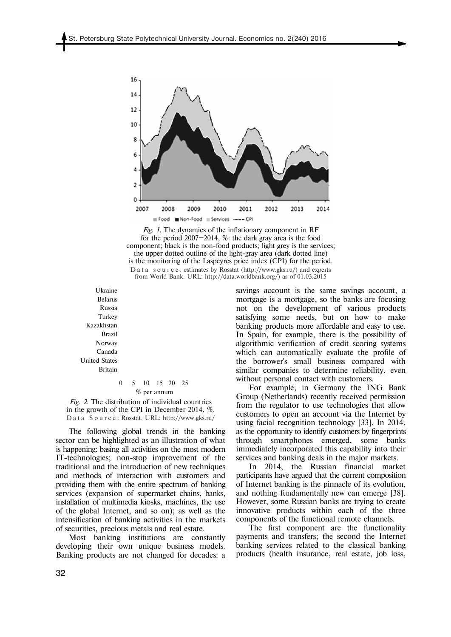

*Fig. 1.* The dynamics of the inflationary component in RF for the period 2007—2014, %: the dark gray area is the food component; black is the non-food products; light grey is the services; the upper dotted outline of the light-gray area (dark dotted line) is the monitoring of the Laspeyres price index (CPI) for the period. D a t a s o u r c e : estimates by Rosstat (http://www.gks.ru/) and experts

from World Bank. URL: http://data.worldbank.org/) as of 01.03.2015

Ukraine Belarus Russia Turkey Kazakhstan Brazil Norway Canada United States Britain

> 0 5 10 15 20 25 % per annum

*Fig. 2.* The distribution of individual countries in the growth of the CPI in December 2014, %. D a t a S o u r c e : Rosstat. URL: http://www.gks.ru/

The following global trends in the banking sector can be highlighted as an illustration of what is happening: basing all activities on the most modern IT-technologies; non-stop improvement of the traditional and the introduction of new techniques and methods of interaction with customers and providing them with the entire spectrum of banking services (expansion of supermarket chains, banks, installation of multimedia kiosks, machines, the use of the global Internet, and so on); as well as the intensification of banking activities in the markets of securities, precious metals and real estate.

Most banking institutions are constantly developing their own unique business models. Banking products are not changed for decades: a savings account is the same savings account, a mortgage is a mortgage, so the banks are focusing not on the development of various products satisfying some needs, but on how to make banking products more affordable and easy to use. In Spain, for example, there is the possibility of algorithmic verification of credit scoring systems which can automatically evaluate the profile of the borrower's small business compared with similar companies to determine reliability, even without personal contact with customers.

For example, in Germany the ING Bank Group (Netherlands) recently received permission from the regulator to use technologies that allow customers to open an account via the Internet by using facial recognition technology [33]. In 2014, as the opportunity to identify customers by fingerprints through smartphones emerged, some banks immediately incorporated this capability into their services and banking deals in the major markets.

In 2014, the Russian financial market participants have argued that the current composition of Internet banking is the pinnacle of its evolution, and nothing fundamentally new can emerge [38]. However, some Russian banks are trying to create innovative products within each of the three components of the functional remote channels.

The first component are the functionality payments and transfers; the second the Internet banking services related to the classical banking products (health insurance, real estate, job loss,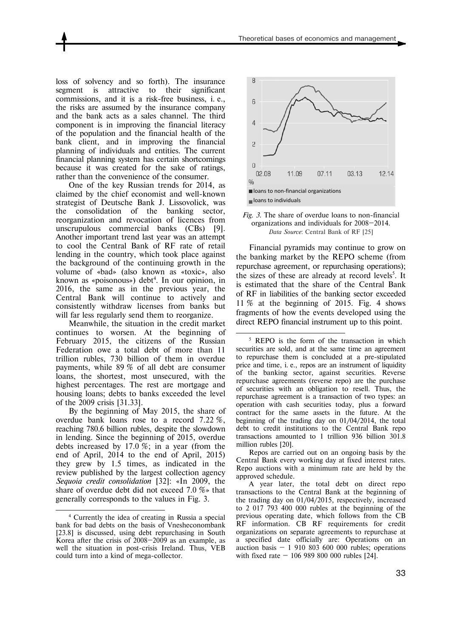loss of solvency and so forth). The insurance segment is attractive to their significant commissions, and it is a risk-free business, i. e., the risks are assumed by the insurance company and the bank acts as a sales channel. The third component is in improving the financial literacy of the population and the financial health of the bank client, and in improving the financial planning of individuals and entities. The current financial planning system has certain shortcomings because it was created for the sake of ratings, rather than the convenience of the consumer.

One of the key Russian trends for 2014, as claimed by the chief economist and well-known strategist of Deutsche Bank J. Lissovoliсk, was the consolidation of the banking sector, reorganization and revocation of licences from unscrupulous commercial banks (CBs) [9]. Another important trend last year was an attempt to cool the Central Bank of RF rate of retail lending in the country, which took place against the background of the continuing growth in the volume of «bad» (also known as «toxic», also known as «poisonous») debt<sup>4</sup>. In our opinion, in 2016, the same as in the previous year, the Central Bank will continue to actively and consistently withdraw licenses from banks but will far less regularly send them to reorganize.

Meanwhile, the situation in the credit market continues to worsen. At the beginning of February 2015, the citizens of the Russian Federation owe a total debt of more than 11 trillion rubles, 730 billion of them in overdue payments, while 89 % of all debt are consumer loans, the shortest, most unsecured, with the highest percentages. The rest are mortgage and housing loans; debts to banks exceeded the level of the 2009 crisis [31.33].

By the beginning of May 2015, the share of overdue bank loans rose to a record 7.22 %, reaching 780.6 billion rubles, despite the slowdown in lending. Since the beginning of 2015, overdue debts increased by 17.0 %; in a year (from the end of April, 2014 to the end of April, 2015) they grew by 1.5 times, as indicated in the review published by the largest collection agency *Sequoia credit consolidation* [32]: «In 2009, the share of overdue debt did not exceed 7.0 %» that generally corresponds to the values in Fig. 3.

l





Financial pyramids may continue to grow on the banking market by the REPO scheme (from repurchase agreement, or repurchasing operations); the sizes of these are already at record levels<sup>5</sup>. It is estimated that the share of the Central Bank of RF in liabilities of the banking sector exceeded 11 % at the beginning of 2015. Fig. 4 shows fragments of how the events developed using the direct REPO financial instrument up to this point.

<u>.</u>

Repos are carried out on an ongoing basis by the Central Bank every working day at fixed interest rates. Repo auctions with a minimum rate are held by the approved schedule.

A year later, the total debt on direct repo transactions to the Central Bank at the beginning of the trading day on 01/04/2015, respectively, increased to 2 017 793 400 000 rubles at the beginning of the previous operating date, which follows from the CB RF information. CB RF requirements for credit organizations on separate agreements to repurchase at a specified date officially are: Operations on an auction basis  $-1$  910 803 600 000 rubles; operations with fixed rate — 106 989 800 000 rubles [24].

<sup>4</sup> Currently the idea of creating in Russia a special bank for bad debts on the basis of Vnesheconombank [23.8] is discussed, using debt repurchasing in South Korea after the crisis of 2008—2009 as an example, as well the situation in post-crisis Ireland. Thus, VEB could turn into a kind of mega-collector.

<sup>&</sup>lt;sup>5</sup> REPO is the form of the transaction in which securities are sold, and at the same time an agreement to repurchase them is concluded at a pre-stipulated price and time, i. e., repos are an instrument of liquidity of the banking sector, against securities. Reverse repurchase agreements (reverse repo) are the purchase of securities with an obligation to resell. Thus, the repurchase agreement is a transaction of two types: an operation with cash securities today, plus a forward contract for the same assets in the future. At the beginning of the trading day on 01/04/2014, the total debt to credit institutions to the Central Bank repo transactions amounted to 1 trillion 936 billion 301.8 million rubles [20].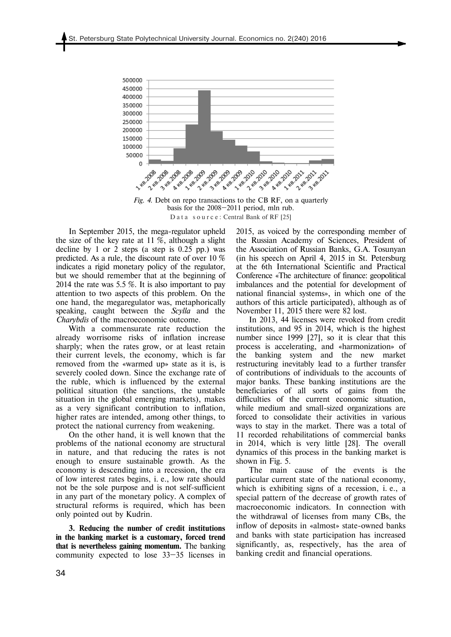

*Fig. 4.* Debt on repo transactions to the CB RF, on a quarterly basis for the 2008—2011 period, mln rub. Data source: Central Bank of RF [25]

In September 2015, the mega-regulator upheld the size of the key rate at  $11\%$ , although a slight decline by 1 or 2 steps (a step is  $0.25$  pp.) was predicted. As a rule, the discount rate of over 10 % indicates a rigid monetary policy of the regulator, but we should remember that at the beginning of 2014 the rate was 5.5 %. It is also important to pay attention to two aspects of this problem. On the one hand, the megaregulator was, metaphorically speaking, caught between the *Scylla* and the *Charybdis* of the macroeconomic outcome.

With a commensurate rate reduction the already worrisome risks of inflation increase sharply; when the rates grow, or at least retain their current levels, the economy, which is far removed from the «warmed up» state as it is, is severely cooled down. Since the exchange rate of the ruble, which is influenced by the external political situation (the sanctions, the unstable situation in the global emerging markets), makes as a very significant contribution to inflation, higher rates are intended, among other things, to protect the national currency from weakening.

On the other hand, it is well known that the problems of the national economy are structural in nature, and that reducing the rates is not enough to ensure sustainable growth. As the economy is descending into a recession, the era of low interest rates begins, i. e., low rate should not be the sole purpose and is not self-sufficient in any part of the monetary policy. A complex of structural reforms is required, which has been only pointed out by Kudrin.

**3. Reducing the number of credit institutions in the banking market is a customary, forced trend that is nevertheless gaining momentum.** The banking community expected to lose 33—35 licenses in 2015, as voiced by the corresponding member of the Russian Academy of Sciences, President of the Association of Russian Banks, G.A. Tosunyan (in his speech on April 4, 2015 in St. Petersburg at the 6th International Scientific and Practical Conference «The architecture of finance: geopolitical imbalances and the potential for development of national financial systems», in which one of the authors of this article participated), although as of November 11, 2015 there were 82 lost.

In 2013, 44 licenses were revoked from credit institutions, and 95 in 2014, which is the highest number since 1999 [27], so it is clear that this process is accelerating, and «harmonization» of the banking system and the new market restructuring inevitably lead to a further transfer of contributions of individuals to the accounts of major banks. These banking institutions are the beneficiaries of all sorts of gains from the difficulties of the current economic situation, while medium and small-sized organizations are forced to consolidate their activities in various ways to stay in the market. There was a total of 11 recorded rehabilitations of commercial banks in 2014, which is very little [28]. The overall dynamics of this process in the banking market is shown in Fig. 5.

The main cause of the events is the particular current state of the national economy, which is exhibiting signs of a recession, i. e., a special pattern of the decrease of growth rates of macroeconomic indicators. In connection with the withdrawal of licenses from many CBs, the inflow of deposits in «almost» state-owned banks and banks with state participation has increased significantly, as, respectively, has the area of banking credit and financial operations.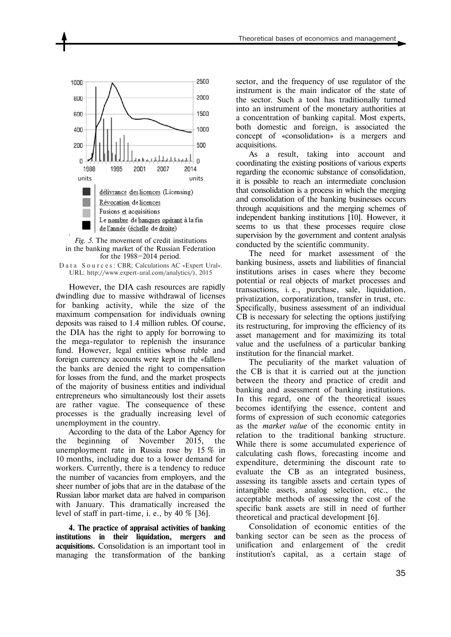





However, the DIA cash resources are rapidly dwindling due to massive withdrawal of licenses for banking activity, while the size of the maximum compensation for individuals owning deposits was raised to 1.4 million rubles. Of course, the DIA has the right to apply for borrowing to the mega-regulator to replenish the insurance fund. However, legal entities whose ruble and foreign currency accounts were kept in the «fallen» the banks are denied the right to compensation for losses from the fund, and the market prospects of the majority of business entities and individual entrepreneurs who simultaneously lost their assets are rather vague. The consequence of these processes is the gradually increasing level of unemployment in the country.

According to the data of the Labor Agency for the beginning of November 2015, the unemployment rate in Russia rose by 15 % in 10 months, including due to a lower demand for workers. Currently, there is a tendency to reduce the number of vacancies from employers, and the sheer number of jobs that are in the database of the Russian labor market data are halved in comparison with January. This dramatically increased the level of staff in part-time, i. e., by  $40\%$  [36].

**4. The practice of appraisal activities of banking institutions in their liquidation, mergers and acquisitions.** Consolidation is an important tool in managing the transformation of the banking

sector, and the frequency of use regulator of the instrument is the main indicator of the state of the sector. Such a tool has traditionally turned into an instrument of the monetary authorities at a concentration of banking capital. Most experts, both domestic and foreign, is associated the concept of «consolidation» is a mergers and acquisitions.

As a result, taking into account and coordinating the existing positions of various experts regarding the economic substance of consolidation, it is possible to reach an intermediate conclusion that consolidation is a process in which the merging and consolidation of the banking businesses occurs through acquisitions and the merging schemes of independent banking institutions [10]. However, it seems to us that these processes require close supervision by the government and content analysis conducted by the scientific community.

The need for market assessment of the banking business, assets and liabilities of financial institutions arises in cases where they become potential or real objects of market processes and transactions, i. e., purchase, sale, liquidation, privatization, corporatization, transfer in trust, etc. Specifically, business assessment of an individual CB is necessary for selecting the options justifying its restructuring, for improving the efficiency of its asset management and for maximizing its total value and the usefulness of a particular banking institution for the financial market.

The peculiarity of the market valuation of the CB is that it is carried out at the junction between the theory and practice of credit and banking and assessment of banking institutions. In this regard, one of the theoretical issues becomes identifying the essence, content and forms of expression of such economic categories as the *market value* of the economic entity in relation to the traditional banking structure. While there is some accumulated experience of calculating cash flows, forecasting income and expenditure, determining the discount rate to evaluate the CB as an integrated business, assessing its tangible assets and certain types of intangible assets, analog selection, etc., the acceptable methods of assessing the cost of the specific bank assets are still in need of further theoretical and practical development [6].

Consolidation of economic entities of the banking sector can be seen as the process of unification and enlargement of the credit institution's capital, as a certain stage of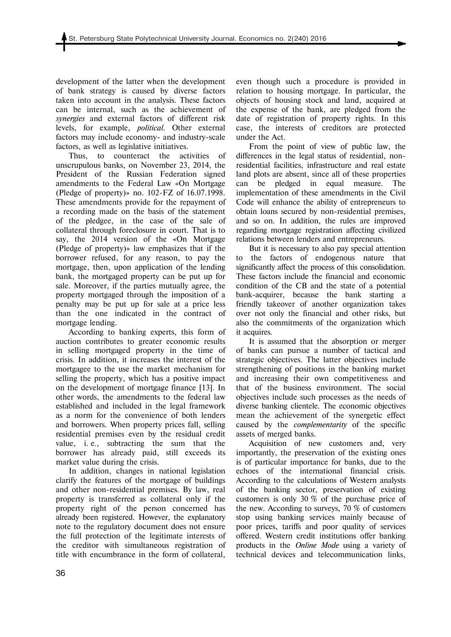development of the latter when the development of bank strategy is caused by diverse factors taken into account in the analysis. These factors can be internal, such as the achievement of *synergies* and external factors of different risk levels, for example, *political*. Other external factors may include economy- and industry-scale factors, as well as legislative initiatives.

Thus, to counteract the activities of unscrupulous banks, on November 23, 2014, the President of the Russian Federation signed amendments to the Federal Law «On Mortgage (Pledge of property)» no. 102-FZ of 16.07.1998. These amendments provide for the repayment of a recording made on the basis of the statement of the pledgee, in the case of the sale of collateral through foreclosure in court. That is to say, the 2014 version of the «On Mortgage (Pledge of property)» law emphasizes that if the borrower refused, for any reason, to pay the mortgage, then, upon application of the lending bank, the mortgaged property can be put up for sale. Moreover, if the parties mutually agree, the property mortgaged through the imposition of a penalty may be put up for sale at a price less than the one indicated in the contract of mortgage lending.

According to banking experts, this form of auction contributes to greater economic results in selling mortgaged property in the time of crisis. In addition, it increases the interest of the mortgagee to the use the market mechanism for selling the property, which has a positive impact on the development of mortgage finance [13]. In other words, the amendments to the federal law established and included in the legal framework as a norm for the convenience of both lenders and borrowers. When property prices fall, selling residential premises even by the residual credit value, i. e., subtracting the sum that the borrower has already paid, still exceeds its market value during the crisis.

In addition, changes in national legislation clarify the features of the mortgage of buildings and other non-residential premises. By law, real property is transferred as collateral only if the property right of the person concerned has already been registered. However, the explanatory note to the regulatory document does not ensure the full protection of the legitimate interests of the creditor with simultaneous registration of title with encumbrance in the form of collateral, even though such a procedure is provided in relation to housing mortgage. In particular, the objects of housing stock and land, acquired at the expense of the bank, are pledged from the date of registration of property rights. In this case, the interests of creditors are protected under the Act.

From the point of view of public law, the differences in the legal status of residential, nonresidential facilities, infrastructure and real estate land plots are absent, since all of these properties can be pledged in equal measure. The implementation of these amendments in the Civil Code will enhance the ability of entrepreneurs to obtain loans secured by non-residential premises, and so on. In addition, the rules are improved regarding mortgage registration affecting civilized relations between lenders and entrepreneurs.

But it is necessary to also pay special attention to the factors of endogenous nature that significantly affect the process of this consolidation. These factors include the financial and economic condition of the CB and the state of a potential bank-acquirer, because the bank starting a friendly takeover of another organization takes over not only the financial and other risks, but also the commitments of the organization which it acquires.

It is assumed that the absorption or merger of banks can pursue a number of tactical and strategic objectives. The latter objectives include strengthening of positions in the banking market and increasing their own competitiveness and that of the business environment. The social objectives include such processes as the needs of diverse banking clientele. The economic objectives mean the achievement of the synergetic effect caused by the *complementarity* of the specific assets of merged banks.

Acquisition of new customers and, very importantly, the preservation of the existing ones is of particular importance for banks, due to the echoes of the international financial crisis. According to the calculations of Western analysts of the banking sector, preservation of existing customers is only 30 % of the purchase price of the new. According to surveys, 70 % of customers stop using banking services mainly because of poor prices, tariffs and poor quality of services offered. Western credit institutions offer banking products in the *Online Mode* using a variety of technical devices and telecommunication links,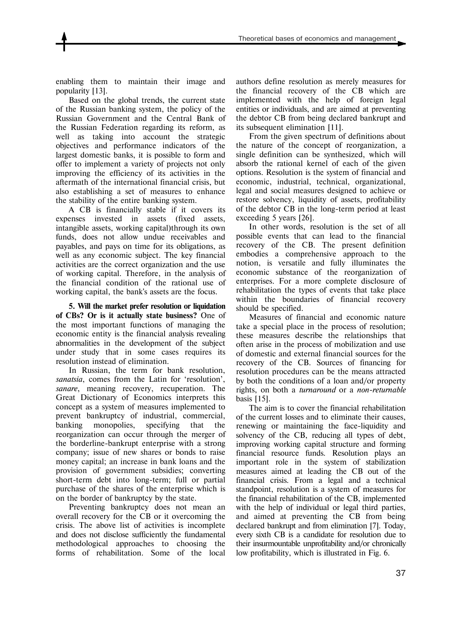enabling them to maintain their image and popularity [13].

Based on the global trends, the current state of the Russian banking system, the policy of the Russian Government and the Central Bank of the Russian Federation regarding its reform, as well as taking into account the strategic objectives and performance indicators of the largest domestic banks, it is possible to form and offer to implement a variety of projects not only improving the efficiency of its activities in the aftermath of the international financial crisis, but also establishing a set of measures to enhance the stability of the entire banking system.

A CB is financially stable if it covers its expenses invested in assets (fixed assets, intangible assets, working capital)through its own funds, does not allow undue receivables and payables, and pays on time for its obligations, as well as any economic subject. The key financial activities are the correct organization and the use of working capital. Therefore, in the analysis of the financial condition of the rational use of working capital, the bank's assets are the focus.

**5. Will the market prefer resolution or liquidation of CBs? Or is it actually state business?** One of the most important functions of managing the economic entity is the financial analysis revealing abnormalities in the development of the subject under study that in some cases requires its resolution instead of elimination.

In Russian, the term for bank resolution, *sanatsia*, comes from the Latin for 'resolution', *sanare*, meaning recovery, recuperation. The Great Dictionary of Economics interprets this concept as a system of measures implemented to prevent bankruptcy of industrial, commercial, banking monopolies, specifying that the reorganization can occur through the merger of the borderline-bankrupt enterprise with a strong company; issue of new shares or bonds to raise money capital; an increase in bank loans and the provision of government subsidies; converting short-term debt into long-term; full or partial purchase of the shares of the enterprise which is on the border of bankruptcy by the state.

Preventing bankruptcy does not mean an overall recovery for the CB or it overcoming the crisis. The above list of activities is incomplete and does not disclose sufficiently the fundamental methodological approaches to choosing the forms of rehabilitation. Some of the local authors define resolution as merely measures for the financial recovery of the CB which are implemented with the help of foreign legal entities or individuals, and are aimed at preventing the debtor CB from being declared bankrupt and its subsequent elimination [11].

From the given spectrum of definitions about the nature of the concept of reorganization, a single definition can be synthesized, which will absorb the rational kernel of each of the given options. Resolution is the system of financial and economic, industrial, technical, organizational, legal and social measures designed to achieve or restore solvency, liquidity of assets, profitability of the debtor CB in the long-term period at least exceeding 5 years [26].

In other words, resolution is the set of all possible events that can lead to the financial recovery of the CB. The present definition embodies a comprehensive approach to the notion, is versatile and fully illuminates the economic substance of the reorganization of enterprises. For a more complete disclosure of rehabilitation the types of events that take place within the boundaries of financial recovery should be specified.

Measures of financial and economic nature take a special place in the process of resolution; these measures describe the relationships that often arise in the process of mobilization and use of domestic and external financial sources for the recovery of the CB. Sources of financing for resolution procedures can be the means attracted by both the conditions of a loan and/or property rights, on both a *turnaround* or a *non-returnable*  basis [15].

The aim is to cover the financial rehabilitation of the current losses and to eliminate their causes, renewing or maintaining the face-liquidity and solvency of the CB, reducing all types of debt, improving working capital structure and forming financial resource funds. Resolution plays an important role in the system of stabilization measures aimed at leading the CB out of the financial crisis. From a legal and a technical standpoint, resolution is a system of measures for the financial rehabilitation of the CB, implemented with the help of individual or legal third parties, and aimed at preventing the CB from being declared bankrupt and from elimination [7]. Today, every sixth CB is a candidate for resolution due to their insurmountable unprofitability and/or chronically low profitability, which is illustrated in Fig. 6.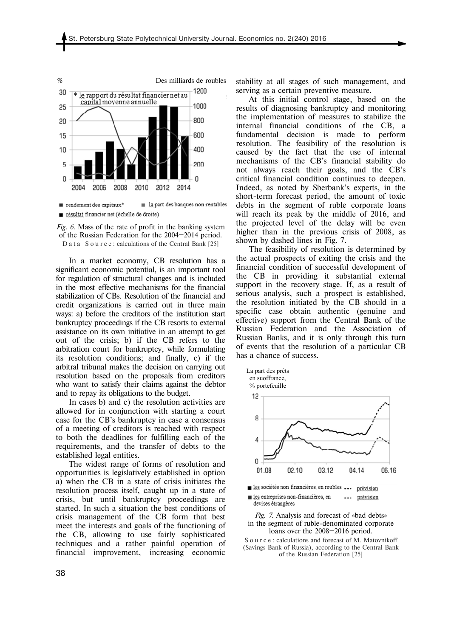

 $\blacksquare$  rendement des capitaux\*  $\equiv$  la part des banques non rentables

résultat financier net (échelle de droite)

*Fig. 6.* Mass of the rate of profit in the banking system of the Russian Federation for the 2004—2014 period. D a t a S o u r c e : calculations of the Central Bank [25]

In a market economy, CB resolution has a significant economic potential, is an important tool for regulation of structural changes and is included in the most effective mechanisms for the financial stabilization of CBs. Resolution of the financial and credit organizations is carried out in three main ways: a) before the creditors of the institution start bankruptcy proceedings if the CB resorts to external assistance on its own initiative in an attempt to get out of the crisis; b) if the CB refers to the arbitration court for bankruptcy, while formulating its resolution conditions; and finally, c) if the arbitral tribunal makes the decision on carrying out resolution based on the proposals from creditors who want to satisfy their claims against the debtor and to repay its obligations to the budget.

In cases b) and c) the resolution activities are allowed for in conjunction with starting a court case for the CB's bankruptcy in case a consensus of a meeting of creditors is reached with respect to both the deadlines for fulfilling each of the requirements, and the transfer of debts to the established legal entities.

The widest range of forms of resolution and opportunities is legislatively established in option a) when the CB in a state of crisis initiates the resolution process itself, caught up in a state of crisis, but until bankruptcy proceedings are started. In such a situation the best conditions of crisis management of the CB form that best meet the interests and goals of the functioning of the CB, allowing to use fairly sophisticated techniques and a rather painful operation of financial improvement, increasing economic

stability at all stages of such management, and serving as a certain preventive measure.

At this initial control stage, based on the results of diagnosing bankruptcy and monitoring the implementation of measures to stabilize the internal financial conditions of the CB, a fundamental decision is made to perform resolution. The feasibility of the resolution is caused by the fact that the use of internal mechanisms of the CB's financial stability do not always reach their goals, and the CB's critical financial condition continues to deepen. Indeed, as noted by Sberbank's experts, in the short-term forecast period, the amount of toxic debts in the segment of ruble corporate loans will reach its peak by the middle of 2016, and the projected level of the delay will be even higher than in the previous crisis of 2008, as shown by dashed lines in Fig. 7.

The feasibility of resolution is determined by the actual prospects of exiting the crisis and the financial condition of successful development of the CB in providing it substantial external support in the recovery stage. If, as a result of serious analysis, such a prospect is established, the resolution initiated by the CB should in a specific case obtain authentic (genuine and effective) support from the Central Bank of the Russian Federation and the Association of Russian Banks, and it is only through this turn of events that the resolution of a particular CB has a chance of success.



les sociétés non financières, en roubles ... prévision

les entreprises non-financières, en prévision  $\overline{a}$ devises étrangères

*Fig. 7.* Analysis and forecast of «bad debts» in the segment of ruble-denominated corporate loans over the 2008—2016 period.

S o u r c e : calculations and forecast of M. Matovnikoff (Savings Bank of Russia), according to the Central Bank of the Russian Federation [25]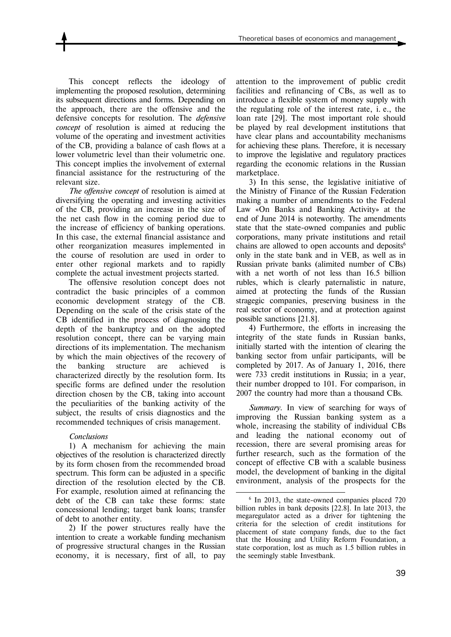This concept reflects the ideology of implementing the proposed resolution, determining its subsequent directions and forms. Depending on the approach, there are the offensive and the defensive concepts for resolution. The *defensive concept* of resolution is aimed at reducing the volume of the operating and investment activities of the CB, providing a balance of cash flows at a lower volumetric level than their volumetric one. This concept implies the involvement of external financial assistance for the restructuring of the relevant size.

*The offensive concept* of resolution is aimed at diversifying the operating and investing activities of the CB, providing an increase in the size of the net cash flow in the coming period due to the increase of efficiency of banking operations. In this case, the external financial assistance and other reorganization measures implemented in the course of resolution are used in order to enter other regional markets and to rapidly complete the actual investment projects started.

The offensive resolution concept does not contradict the basic principles of a common economic development strategy of the CB. Depending on the scale of the crisis state of the CB identified in the process of diagnosing the depth of the bankruptcy and on the adopted resolution concept, there can be varying main directions of its implementation. The mechanism by which the main objectives of the recovery of the banking structure are achieved is characterized directly by the resolution form. Its specific forms are defined under the resolution direction chosen by the CB, taking into account the peculiarities of the banking activity of the subject, the results of crisis diagnostics and the recommended techniques of crisis management.

### *Conclusions*

1) A mechanism for achieving the main objectives of the resolution is characterized directly by its form chosen from the recommended broad spectrum. This form can be adjusted in a specific direction of the resolution elected by the CB. For example, resolution aimed at refinancing the debt of the CB can take these forms: state concessional lending; target bank loans; transfer of debt to another entity.

2) If the power structures really have the intention to create a workable funding mechanism of progressive structural changes in the Russian economy, it is necessary, first of all, to pay attention to the improvement of public credit facilities and refinancing of CBs, as well as to introduce a flexible system of money supply with the regulating role of the interest rate, i. e., the loan rate [29]. The most important role should be played by real development institutions that have clear plans and accountability mechanisms for achieving these plans. Therefore, it is necessary to improve the legislative and regulatory practices regarding the economic relations in the Russian marketplace.

3) In this sense, the legislative initiative of the Ministry of Finance of the Russian Federation making a number of amendments to the Federal Law «On Banks and Banking Activity» at the end of June 2014 is noteworthy. The amendments state that the state-owned companies and public corporations, many private institutions and retail chains are allowed to open accounts and deposits $6<sup>6</sup>$ only in the state bank and in VEB, as well as in Russian private banks (alimited number of СBs) with a net worth of not less than 16.5 billion rubles, which is clearly paternalistic in nature, aimed at protecting the funds of the Russian stragegic companies, preserving business in the real sector of economy, and at protection against possible sanctions [21.8].

4) Furthermore, the efforts in increasing the integrity of the state funds in Russian banks, initially started with the intention of clearing the banking sector from unfair participants, will be completed by 2017. As of January 1, 2016, there were 733 credit institutions in Russia; in a year, their number dropped to 101. For comparison, in 2007 the country had more than a thousand СBs.

*Summary.* In view of searching for ways of improving the Russian banking system as a whole, increasing the stability of individual CBs and leading the national economy out of recession, there are several promising areas for further research, such as the formation of the concept of effective СB with a scalable business model, the development of banking in the digital environment, analysis of the prospects for the

<u>.</u>

<sup>6</sup> In 2013, the state-owned companies placed 720 billion rubles in bank deposits [22.8]. In late 2013, the megaregulator acted as a driver for tightening the criteria for the selection of credit institutions for placement of state company funds, due to the fact that the Housing and Utility Reform Foundation, a state corporation, lost as much as 1.5 billion rubles in the seemingly stable Investbank.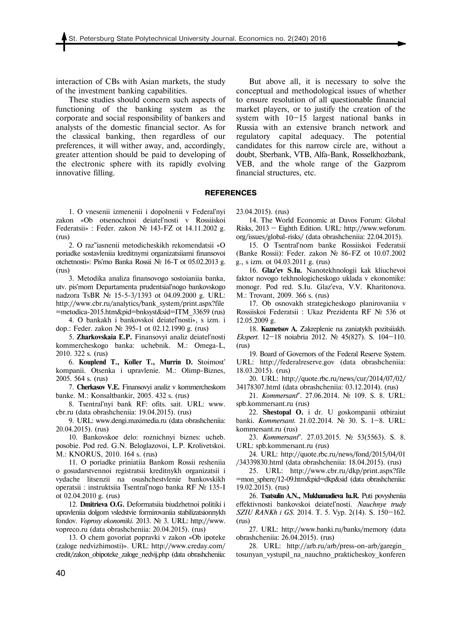interaction of СBs with Asian markets, the study of the investment banking capabilities.

These studies should concern such aspects of functioning of the banking system as the corporate and social responsibility of bankers and analysts of the domestic financial sector. As for the classical banking, then regardless of our preferences, it will wither away, and, accordingly, greater attention should be paid to developing of the electronic sphere with its rapidly evolving innovative filling.

But above all, it is necessary to solve the conceptual and methodological issues of whether to ensure resolution of all questionable financial market players, or to justify the creation of the system with 10—15 largest national banks in Russia with an extensive branch network and regulatory capital adequacy. The potential candidates for this narrow circle are, without a doubt, Sberbank, VTB, Alfa-Bank, Rosselkhozbank, VEB, and the whole range of the Gazprom financial structures, etc.

#### **REFERENCES**

1. O vnesenii izmenenii i dopolnenii v Federal'nyi zakon «Ob otsenochnoi deiatel'nosti v Rossiiskoi Federatsii» : Feder. zakon № 143-FZ ot 14.11.2002 g. (rus)

2. O raz"iasnenii metodicheskikh rekomendatsii «O poriadke sostavleniia kreditnymi organizatsiiami finansovoi otchetnosti»: Pis'mo Banka Rossii № 16-T ot 05.02.2013 g. (rus)

3. Metodika analiza finansovogo sostoianiia banka, utv. pis'mom Departamenta prudentsial'nogo bankovskogo nadzora TsBR № 15-5-3/1393 ot 04.09.2000 g. URL: http://www.cbr.ru/analytics/bank\_system/print.aspx?file =metodica-2015.htm&pid=bnksyst&sid=ITM\_33659 (rus)

4. O bankakh i bankovskoi deiatel'nosti», s izm. i dop.: Feder. zakon № 395-1 ot 02.12.1990 g. (rus)

5. **Zharkovskaia E.P.** Finansovyi analiz deiatel'nosti kommercheskogo banka: uchebnik. M.: Omega-L, 2010. 322 s. (rus)

6. **Kouplend T., Koller T., Murrin D.** Stoimost' kompanii. Otsenka i upravlenie. M.: Olimp-Biznes, 2005. 564 s. (rus)

7. **Cherkasov V.E.** Finansovyi analiz v kommercheskom banke. M.: Konsaltbankir, 2005. 432 s. (rus)

8. Tsentral'nyi bank RF: ofits. sait. URL: www. cbr.ru (data obrashcheniia: 19.04.2015). (rus)

9. URL: www.dengi.maximedia.ru (data obrashcheniia: 20.04.2015). (rus)

10. Bankovskoe delo: roznichnyi biznes: ucheb. posobie. Pod red. G.N. Beloglazovoi, L.P. Krolivetskoi. M.: KNORUS, 2010. 164 s. (rus)

11. O poriadke priniatiia Bankom Rossii resheniia o gosudarstvennoi registratsii kreditnykh organizatsii i vydache litsenzii na osushchestvlenie bankovskikh operatsii : instruktsiia Tsentral'nogo banka RF № 135-I ot 02.04.2010 g. (rus)

12. **Dmitrieva O.G.** Deformatsiia biudzhetnoi politiki i upravleniia dolgom vsledstvie formirovaniia stabilizatsionnykh fondov. *Voprosy ekonomiki*. 2013. № 3. URL: http://www. vopreco.ru (data obrashcheniia: 20.04.2015). (rus)

13. O chem govoriat popravki v zakon «Ob ipoteke (zaloge nedvizhimosti)». URL: http://www.creday.com/ credit/zakon\_obipoteke\_zaloge\_nedvij.php (data obrashcheniia: 23.04.2015). (rus)

14. The World Economic at Davos Forum: Global Risks, 2013 — Eighth Edition. URL: http://www.weforum. org/issues/global-risks/ (data obrashcheniia: 22.04.2015).

15. O Tsentral'nom banke Rossiiskoi Federatsii (Banke Rossii): Feder. zakon № 86-FZ ot 10.07.2002 g., s izm. ot 04.03.2011 g. (rus)

16. **Glaz'ev S.Iu.** Nanotekhnologii kak kliuchevoi faktor novogo tekhnologicheskogo uklada v ekonomike: monogr. Pod red. S.Iu. Glaz'eva, V.V. Kharitonova. M.: Trovant, 2009. 366 s. (rus)

17. Ob osnovakh strategicheskogo planirovaniia v Rossiiskoi Federatsii : Ukaz Prezidenta RF № 536 ot 12.05.2009 g.

18. **Kuznetsov A.** Zakreplenie na zaniatykh pozitsiiakh. *Ekspert*. 12—18 noiabria 2012. № 45(827). S. 104—110. (rus)

19. Board of Governors of the Federal Reserve System. URL: http://federalreserve.gov (data obrashcheniia: 18.03.2015). (rus)

20. URL: http://quote.rbc.ru/news/cur/2014/07/02/ 34178307.html (data obrashcheniia: 03.12.2014). (rus)

21. *Kommersant*". 27.06.2014. № 109. S. 8. URL: spb.kommersant.ru (rus)

22. **Shestopal O.** i dr. U goskompanii otbiraiut banki. *Kommersant*. 21.02.2014. № 30. S. 1—8. URL: kommersant.ru (rus)

23. *Kommersant*". 27.03.2015. № 53(5563). S. 8. URL: spb.kommersant.ru (rus)

24. URL: http://quote.rbc.ru/news/fond/2015/04/01 /34339830.html (data obrashcheniia: 18.04.2015). (rus)

25. URL: http://www.cbr.ru/dkp/print.aspx?file =mon\_sphere/12-09.htm&pid=dkp&sid (data obrashcheniia: 19.02.2015). (rus)

26. **Tsatsulin A.N., Mukhamadieva Iu.R.** Puti povysheniia effektivnosti bankovskoi deiatel'nosti. *Nauchnye trudy SZIU RANKh i GS*. 2014. T. 5. Vyp. 2(14). S. 150—162. (rus)

27. URL: http://www.banki.ru/banks/memory (data obrashcheniia: 26.04.2015). (rus)

28. URL: http://arb.ru/arb/press-on-arb/garegin\_ tosunyan\_vystupil\_na\_nauchno\_prakticheskoy\_konferen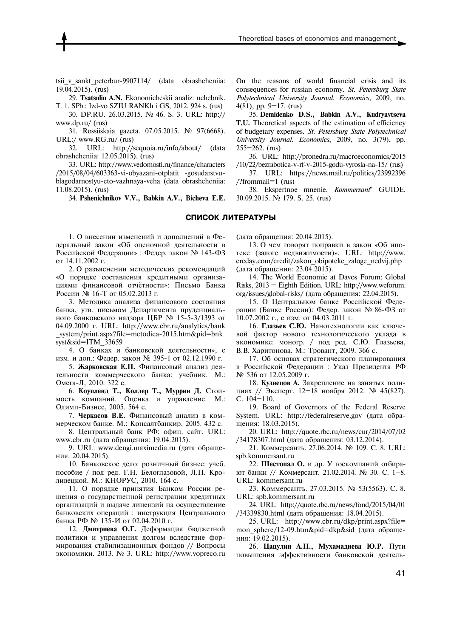tsii v sankt peterbur-9907114/ (data obrashcheniia: 19.04.2015). (rus)

29. **Tsatsulin A.N.** Ekonomicheskii analiz: uchebnik. T. 1. SPb.: Izd-vo SZIU RANKh i GS, 2012. 924 s. (rus)

30. DP.RU. 26.03.2015. № 46. S. 3. URL: http:// www.dp.ru/ (rus)

31. Rossiiskaia gazeta. 07.05.2015. № 97(6668). URL:/ www.RG.ru/ (rus)

32. URL: http://sequoia.ru/info/about/ (data obrashcheniia: 12.05.2015). (rus)

33. URL: http://www.vedomosti.ru/finance/characters /2015/08/04/603363-vi-obyazani-otplatit -gosudarstvublagodarnostyu-eto-vazhnaya-veha (data obrashcheniia: 11.08.2015). (rus)

34. **Pshenichnikov V.V., Babkin A.V., Bicheva E.E.**

On the reasons of world financial crisis and its consequences for russian economy. *St. Petersburg State Polytechnical University Journal. Economics*, 2009, no. 4(81), pp. 9—17. (rus)

35. **Demidenko D.S., Babkin A.V., Kudryavtseva Т.U.** Theoretical aspects of the estimation of efficiency of budgetary expenses. *St. Petersburg State Polytechnical University Journal. Economics*, 2009, no. 3(79), pp. 255—262. (rus)

36. URL: http://pronedra.ru/macroeconomics/2015 /10/22/bezrabotica-v-rf-v-2015-godu-vyrosla-na-15/ (rus)

37. URL: https://news.mail.ru/politics/23992396 /?frommail=1 (rus)

38. Ekspertnoe mnenie. *Kommersant*" GUIDE. 30.09.2015. № 179. S. 25. (rus)

#### **СПИСОК ЛИТЕРАТУРЫ**

1. О внесении изменений и дополнений в Федеральный закон «Об оценочной деятельности в Российской Федерации» : Федер. закон № 143-ФЗ от 14.11.2002 г.

2. О разъяснении методических рекомендаций «О порядке составления кредитными организациями финансовой отчётности»: Письмо Банка России № 16-Т от 05.02.2013 г.

3. Методика анализа финансового состояния банка, утв. письмом Департамента пруденциального банковского надзора ЦБР № 15-5-3/1393 от 04.09.2000 г. URL: http://www.cbr.ru/analytics/bank \_system/print.aspx?file=metodica-2015.htm&pid=bnk syst&sid=ITM\_33659

4. О банках и банковской деятельности», с изм. и доп.: Федер. закон № 395-1 от 02.12.1990 г.

5. **Жарковская Е.П.** Финансовый анализ деятельности коммерческого банка: учебник. М.: Омега-Л, 2010. 322 с.

6. **Коупленд Т., Коллер Т., Муррин Д.** Стоимость компаний. Оценка и управление. М.: Олимп-Бизнес, 2005. 564 с.

7. **Черкасов В.Е.** Финансовый анализ в коммерческом банке. М.: Консалтбанкир, 2005. 432 с.

8. Центральный банк РФ: офиц. сайт. URL: www.cbr.ru (дата обращения: 19.04.2015).

9. URL: www.dengi.maximedia.ru (дата обращения: 20.04.2015).

10. Банковское дело: розничный бизнес: учеб. пособие / под ред. Г.Н. Белоглазовой, Л.П. Кроливецкой. М.: КНОРУС, 2010. 164 с.

11. О порядке принятия Банком России решения о государственной регистрации кредитных организаций и выдаче лицензий на осуществление банковских операций : инструкция Центрального банка РФ № 135-И от 02.04.2010 г.

12. **Дмитриева О.Г.** Деформация бюджетной политики и управления долгом вследствие формирования стабилизационных фондов // Вопросы экономики. 2013. № 3. URL: http://www.vopreco.ru (дата обращения: 20.04.2015).

13. О чем говорят поправки в закон «Об ипотеке (залоге недвижимости)». URL: http://www. creday.com/credit/zakon\_obipoteke\_zaloge\_nedvij.php (дата обращения: 23.04.2015).

14. The World Economic at Davos Forum: Global Risks, 2013 — Eighth Edition. URL: http://www.weforum. org/issues/global-risks/ (дата обращения: 22.04.2015).

15. О Центральном банке Российской Федерации (Банке России): Федер. закон № 86-ФЗ от 10.07.2002 г., с изм. от 04.03.2011 г.

16. **Глазьев С.Ю.** Нанотехнологии как ключевой фактор нового технологического уклада в экономике: моногр. / под ред. С.Ю. Глазьева, В.В. Харитонова. М.: Тровант, 2009. 366 с.

17. Об основах стратегического планирования в Российской Федерации : Указ Президента РФ № 536 от 12.05.2009 г.

18. **Кузнецов А.** Закрепление на занятых позициях // Эксперт. 12—18 ноября 2012. № 45(827). С. 104—110.

19. Board of Governors of the Federal Reserve System. URL: http://federalreserve.gov (дата обращения: 18.03.2015).

20. URL: http://quote.rbc.ru/news/cur/2014/07/02 /34178307.html (дата обращения: 03.12.2014).

21. Коммерсантъ. 27.06.2014. № 109. С. 8. URL: spb.kommersant.ru

22. **Шестопал О.** и др. У госкомпаний отбирают банки // Коммерсант. 21.02.2014. № 30. С. 1—8. URL: kommersant.ru

23. Коммерсантъ. 27.03.2015. № 53(5563). С. 8. URL: spb.kommersant.ru

24. URL: http://quote.rbc.ru/news/fond/2015/04/01 /34339830.html (дата обращения: 18.04.2015).

25. URL: http://www.cbr.ru/dkp/print.aspx?file= mon sphere/12-09.htm&pid=dkp&sid (дата обращения: 19.02.2015).

26. **Цацулин А.Н., Мухамадиева Ю.Р.** Пути повышения эффективности банковской деятель